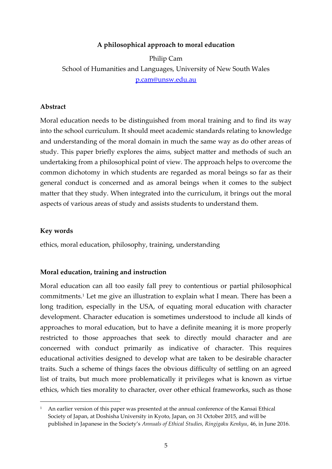## **A philosophical approach to moral education**

Philip Cam School of Humanities and Languages, University of New South Wales p.cam@unsw.edu.au

#### **Abstract**

Moral education needs to be distinguished from moral training and to find its way into the school curriculum. It should meet academic standards relating to knowledge and understanding of the moral domain in much the same way as do other areas of study. This paper briefly explores the aims, subject matter and methods of such an undertaking from a philosophical point of view. The approach helps to overcome the common dichotomy in which students are regarded as moral beings so far as their general conduct is concerned and as amoral beings when it comes to the subject matter that they study. When integrated into the curriculum, it brings out the moral aspects of various areas of study and assists students to understand them.

#### **Key words**

 $\overline{a}$ 

ethics, moral education, philosophy, training, understanding

### **Moral education, training and instruction**

Moral education can all too easily fall prey to contentious or partial philosophical commitments.<sup>1</sup> Let me give an illustration to explain what I mean. There has been a long tradition, especially in the USA, of equating moral education with character development. Character education is sometimes understood to include all kinds of approaches to moral education, but to have a definite meaning it is more properly restricted to those approaches that seek to directly mould character and are concerned with conduct primarily as indicative of character. This requires educational activities designed to develop what are taken to be desirable character traits. Such a scheme of things faces the obvious difficulty of settling on an agreed list of traits, but much more problematically it privileges what is known as virtue ethics, which ties morality to character, over other ethical frameworks, such as those

<sup>&</sup>lt;sup>1</sup> An earlier version of this paper was presented at the annual conference of the Kansai Ethical Society of Japan, at Doshisha University in Kyoto, Japan, on 31 October 2015, and will be published in Japanese in the Society's *Annuals of Ethical Studies, Ringigaku Kenkyu*, 46, in June 2016.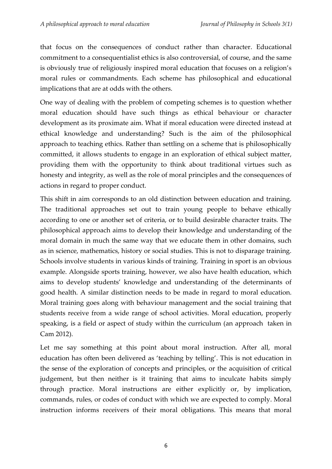that focus on the consequences of conduct rather than character. Educational commitment to a consequentialist ethics is also controversial, of course, and the same is obviously true of religiously inspired moral education that focuses on a religion's moral rules or commandments. Each scheme has philosophical and educational implications that are at odds with the others.

One way of dealing with the problem of competing schemes is to question whether moral education should have such things as ethical behaviour or character development as its proximate aim. What if moral education were directed instead at ethical knowledge and understanding? Such is the aim of the philosophical approach to teaching ethics. Rather than settling on a scheme that is philosophically committed, it allows students to engage in an exploration of ethical subject matter, providing them with the opportunity to think about traditional virtues such as honesty and integrity, as well as the role of moral principles and the consequences of actions in regard to proper conduct.

This shift in aim corresponds to an old distinction between education and training. The traditional approaches set out to train young people to behave ethically according to one or another set of criteria, or to build desirable character traits. The philosophical approach aims to develop their knowledge and understanding of the moral domain in much the same way that we educate them in other domains, such as in science, mathematics, history or social studies. This is not to disparage training. Schools involve students in various kinds of training. Training in sport is an obvious example. Alongside sports training, however, we also have health education, which aims to develop students' knowledge and understanding of the determinants of good health. A similar distinction needs to be made in regard to moral education. Moral training goes along with behaviour management and the social training that students receive from a wide range of school activities. Moral education, properly speaking, is a field or aspect of study within the curriculum (an approach taken in Cam 2012).

Let me say something at this point about moral instruction. After all, moral education has often been delivered as 'teaching by telling'. This is not education in the sense of the exploration of concepts and principles, or the acquisition of critical judgement, but then neither is it training that aims to inculcate habits simply through practice. Moral instructions are either explicitly or, by implication, commands, rules, or codes of conduct with which we are expected to comply. Moral instruction informs receivers of their moral obligations. This means that moral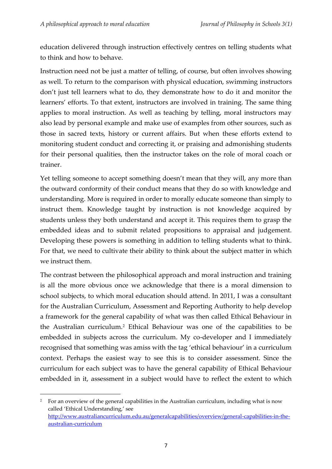education delivered through instruction effectively centres on telling students what to think and how to behave.

Instruction need not be just a matter of telling, of course, but often involves showing as well. To return to the comparison with physical education, swimming instructors don't just tell learners what to do, they demonstrate how to do it and monitor the learners' efforts. To that extent, instructors are involved in training. The same thing applies to moral instruction. As well as teaching by telling, moral instructors may also lead by personal example and make use of examples from other sources, such as those in sacred texts, history or current affairs. But when these efforts extend to monitoring student conduct and correcting it, or praising and admonishing students for their personal qualities, then the instructor takes on the role of moral coach or trainer.

Yet telling someone to accept something doesn't mean that they will, any more than the outward conformity of their conduct means that they do so with knowledge and understanding. More is required in order to morally educate someone than simply to instruct them. Knowledge taught by instruction is not knowledge acquired by students unless they both understand and accept it. This requires them to grasp the embedded ideas and to submit related propositions to appraisal and judgement. Developing these powers is something in addition to telling students what to think. For that, we need to cultivate their ability to think about the subject matter in which we instruct them.

The contrast between the philosophical approach and moral instruction and training is all the more obvious once we acknowledge that there is a moral dimension to school subjects, to which moral education should attend. In 2011, I was a consultant for the Australian Curriculum, Assessment and Reporting Authority to help develop a framework for the general capability of what was then called Ethical Behaviour in the Australian curriculum.<sup>2</sup> Ethical Behaviour was one of the capabilities to be embedded in subjects across the curriculum. My co-developer and I immediately recognised that something was amiss with the tag 'ethical behaviour' in a curriculum context. Perhaps the easiest way to see this is to consider assessment. Since the curriculum for each subject was to have the general capability of Ethical Behaviour embedded in it, assessment in a subject would have to reflect the extent to which

1

<sup>&</sup>lt;sup>2</sup> For an overview of the general capabilities in the Australian curriculum, including what is now called 'Ethical Understanding,' see [http://www.australiancurriculum.edu.au/generalcapabilities/overview/general-capabilities-in-the](http://www.australiancurriculum.edu.au/generalcapabilities/overview/general-capabilities-in-the-australian-curriculum)[australian-curriculum](http://www.australiancurriculum.edu.au/generalcapabilities/overview/general-capabilities-in-the-australian-curriculum)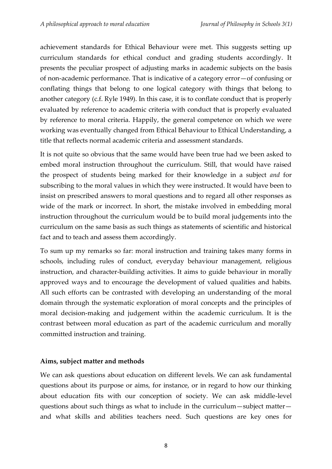achievement standards for Ethical Behaviour were met. This suggests setting up curriculum standards for ethical conduct and grading students accordingly. It presents the peculiar prospect of adjusting marks in academic subjects on the basis of non-academic performance. That is indicative of a category error—of confusing or conflating things that belong to one logical category with things that belong to another category (c.f. Ryle 1949). In this case, it is to conflate conduct that is properly evaluated by reference to academic criteria with conduct that is properly evaluated by reference to moral criteria. Happily, the general competence on which we were working was eventually changed from Ethical Behaviour to Ethical Understanding, a title that reflects normal academic criteria and assessment standards.

It is not quite so obvious that the same would have been true had we been asked to embed moral instruction throughout the curriculum. Still, that would have raised the prospect of students being marked for their knowledge in a subject *and* for subscribing to the moral values in which they were instructed. It would have been to insist on prescribed answers to moral questions and to regard all other responses as wide of the mark or incorrect. In short, the mistake involved in embedding moral instruction throughout the curriculum would be to build moral judgements into the curriculum on the same basis as such things as statements of scientific and historical fact and to teach and assess them accordingly.

To sum up my remarks so far: moral instruction and training takes many forms in schools, including rules of conduct, everyday behaviour management, religious instruction, and character-building activities. It aims to guide behaviour in morally approved ways and to encourage the development of valued qualities and habits. All such efforts can be contrasted with developing an understanding of the moral domain through the systematic exploration of moral concepts and the principles of moral decision-making and judgement within the academic curriculum. It is the contrast between moral education as part of the academic curriculum and morally committed instruction and training.

# **Aims, subject matter and methods**

We can ask questions about education on different levels. We can ask fundamental questions about its purpose or aims, for instance, or in regard to how our thinking about education fits with our conception of society. We can ask middle-level questions about such things as what to include in the curriculum—subject matter and what skills and abilities teachers need. Such questions are key ones for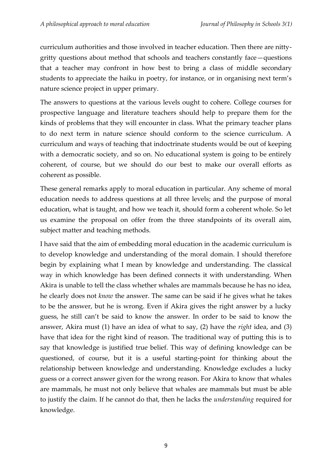curriculum authorities and those involved in teacher education. Then there are nittygritty questions about method that schools and teachers constantly face—questions that a teacher may confront in how best to bring a class of middle secondary students to appreciate the haiku in poetry, for instance, or in organising next term's nature science project in upper primary.

The answers to questions at the various levels ought to cohere. College courses for prospective language and literature teachers should help to prepare them for the kinds of problems that they will encounter in class. What the primary teacher plans to do next term in nature science should conform to the science curriculum. A curriculum and ways of teaching that indoctrinate students would be out of keeping with a democratic society, and so on. No educational system is going to be entirely coherent, of course, but we should do our best to make our overall efforts as coherent as possible.

These general remarks apply to moral education in particular. Any scheme of moral education needs to address questions at all three levels; and the purpose of moral education, what is taught, and how we teach it, should form a coherent whole. So let us examine the proposal on offer from the three standpoints of its overall aim, subject matter and teaching methods.

I have said that the aim of embedding moral education in the academic curriculum is to develop knowledge and understanding of the moral domain. I should therefore begin by explaining what I mean by knowledge and understanding. The classical way in which knowledge has been defined connects it with understanding. When Akira is unable to tell the class whether whales are mammals because he has no idea, he clearly does not *know* the answer. The same can be said if he gives what he takes to be the answer, but he is wrong. Even if Akira gives the right answer by a lucky guess, he still can't be said to know the answer. In order to be said to know the answer, Akira must (1) have an idea of what to say, (2) have the *right* idea, and (3) have that idea for the right kind of reason. The traditional way of putting this is to say that knowledge is justified true belief. This way of defining knowledge can be questioned, of course, but it is a useful starting-point for thinking about the relationship between knowledge and understanding. Knowledge excludes a lucky guess or a correct answer given for the wrong reason. For Akira to know that whales are mammals, he must not only believe that whales are mammals but must be able to justify the claim. If he cannot do that, then he lacks the *understanding* required for knowledge.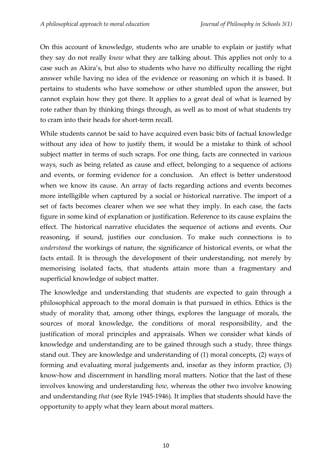On this account of knowledge, students who are unable to explain or justify what they say do not really *know* what they are talking about. This applies not only to a case such as Akira's, but also to students who have no difficulty recalling the right answer while having no idea of the evidence or reasoning on which it is based. It pertains to students who have somehow or other stumbled upon the answer, but cannot explain how they got there. It applies to a great deal of what is learned by rote rather than by thinking things through, as well as to most of what students try to cram into their heads for short-term recall.

While students cannot be said to have acquired even basic bits of factual knowledge without any idea of how to justify them, it would be a mistake to think of school subject matter in terms of such scraps. For one thing, facts are connected in various ways, such as being related as cause and effect, belonging to a sequence of actions and events, or forming evidence for a conclusion. An effect is better understood when we know its cause. An array of facts regarding actions and events becomes more intelligible when captured by a social or historical narrative. The import of a set of facts becomes clearer when we see what they imply. In each case, the facts figure in some kind of explanation or justification. Reference to its cause explains the effect. The historical narrative elucidates the sequence of actions and events. Our reasoning, if sound, justifies our conclusion. To make such connections is to *understand* the workings of nature, the significance of historical events, or what the facts entail. It is through the development of their understanding, not merely by memorising isolated facts, that students attain more than a fragmentary and superficial knowledge of subject matter.

The knowledge and understanding that students are expected to gain through a philosophical approach to the moral domain is that pursued in ethics. Ethics is the study of morality that, among other things, explores the language of morals, the sources of moral knowledge, the conditions of moral responsibility, and the justification of moral principles and appraisals. When we consider what kinds of knowledge and understanding are to be gained through such a study, three things stand out. They are knowledge and understanding of (1) moral concepts, (2) ways of forming and evaluating moral judgements and, insofar as they inform practice, (3) know-how and discernment in handling moral matters. Notice that the last of these involves knowing and understanding *how*, whereas the other two involve knowing and understanding *that* (see Ryle 1945-1946). It implies that students should have the opportunity to apply what they learn about moral matters.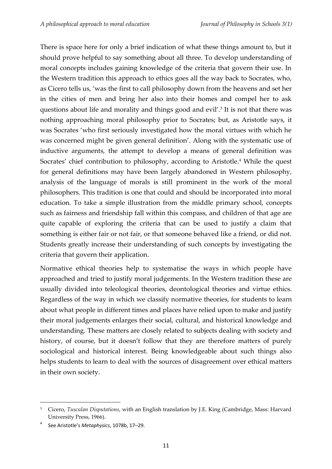There is space here for only a brief indication of what these things amount to, but it should prove helpful to say something about all three. To develop understanding of moral concepts includes gaining knowledge of the criteria that govern their use. In the Western tradition this approach to ethics goes all the way back to Socrates, who, as Cicero tells us, 'was the first to call philosophy down from the heavens and set her in the cities of men and bring her also into their homes and compel her to ask questions about life and morality and things good and evil'. 3 It is not that there was nothing approaching moral philosophy prior to Socrates; but, as Aristotle says, it was Socrates 'who first seriously investigated how the moral virtues with which he was concerned might be given general definition'. Along with the systematic use of inductive arguments, the attempt to develop a means of general definition was Socrates' chief contribution to philosophy, according to Aristotle.<sup>4</sup> While the quest for general definitions may have been largely abandoned in Western philosophy, analysis of the language of morals is still prominent in the work of the moral philosophers. This tradition is one that could and should be incorporated into moral education. To take a simple illustration from the middle primary school, concepts such as fairness and friendship fall within this compass, and children of that age are quite capable of exploring the criteria that can be used to justify a claim that something is either fair or not fair, or that someone behaved like a friend, or did not. Students greatly increase their understanding of such concepts by investigating the criteria that govern their application.

Normative ethical theories help to systematise the ways in which people have approached and tried to justify moral judgements. In the Western tradition these are usually divided into teleological theories, deontological theories and virtue ethics. Regardless of the way in which we classify normative theories, for students to learn about what people in different times and places have relied upon to make and justify their moral judgements enlarges their social, cultural, and historical knowledge and understanding. These matters are closely related to subjects dealing with society and history, of course, but it doesn't follow that they are therefore matters of purely sociological and historical interest. Being knowledgeable about such things also helps students to learn to deal with the sources of disagreement over ethical matters in their own society.

**.** 

<sup>3</sup> Cicero, *Tusculan Disputations*, with an English translation by J.E. King (Cambridge, Mass: Harvard University Press, 1966).

<sup>4</sup> See Aristotle's *Metaphysics*, 1078b, 17–29.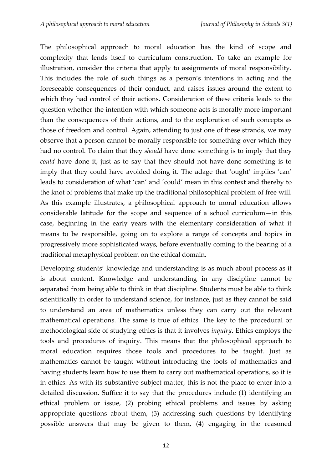The philosophical approach to moral education has the kind of scope and complexity that lends itself to curriculum construction. To take an example for illustration, consider the criteria that apply to assignments of moral responsibility. This includes the role of such things as a person's intentions in acting and the foreseeable consequences of their conduct, and raises issues around the extent to which they had control of their actions. Consideration of these criteria leads to the question whether the intention with which someone acts is morally more important than the consequences of their actions, and to the exploration of such concepts as those of freedom and control. Again, attending to just one of these strands, we may observe that a person cannot be morally responsible for something over which they had no control. To claim that they *should* have done something is to imply that they *could* have done it, just as to say that they should not have done something is to imply that they could have avoided doing it. The adage that 'ought' implies 'can' leads to consideration of what 'can' and 'could' mean in this context and thereby to the knot of problems that make up the traditional philosophical problem of free will. As this example illustrates, a philosophical approach to moral education allows considerable latitude for the scope and sequence of a school curriculum—in this case, beginning in the early years with the elementary consideration of what it means to be responsible, going on to explore a range of concepts and topics in progressively more sophisticated ways, before eventually coming to the bearing of a traditional metaphysical problem on the ethical domain.

Developing students' knowledge and understanding is as much about process as it is about content. Knowledge and understanding in any discipline cannot be separated from being able to think in that discipline. Students must be able to think scientifically in order to understand science, for instance, just as they cannot be said to understand an area of mathematics unless they can carry out the relevant mathematical operations. The same is true of ethics. The key to the procedural or methodological side of studying ethics is that it involves *inquiry*. Ethics employs the tools and procedures of inquiry. This means that the philosophical approach to moral education requires those tools and procedures to be taught. Just as mathematics cannot be taught without introducing the tools of mathematics and having students learn how to use them to carry out mathematical operations, so it is in ethics. As with its substantive subject matter, this is not the place to enter into a detailed discussion. Suffice it to say that the procedures include (1) identifying an ethical problem or issue, (2) probing ethical problems and issues by asking appropriate questions about them, (3) addressing such questions by identifying possible answers that may be given to them, (4) engaging in the reasoned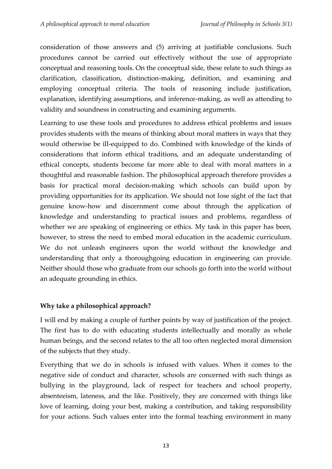consideration of those answers and (5) arriving at justifiable conclusions. Such procedures cannot be carried out effectively without the use of appropriate conceptual and reasoning tools. On the conceptual side, these relate to such things as clarification, classification, distinction-making, definition, and examining and employing conceptual criteria. The tools of reasoning include justification, explanation, identifying assumptions, and inference-making, as well as attending to validity and soundness in constructing and examining arguments.

Learning to use these tools and procedures to address ethical problems and issues provides students with the means of thinking about moral matters in ways that they would otherwise be ill-equipped to do. Combined with knowledge of the kinds of considerations that inform ethical traditions, and an adequate understanding of ethical concepts, students become far more able to deal with moral matters in a thoughtful and reasonable fashion. The philosophical approach therefore provides a basis for practical moral decision-making which schools can build upon by providing opportunities for its application. We should not lose sight of the fact that genuine know-how and discernment come about through the application of knowledge and understanding to practical issues and problems, regardless of whether we are speaking of engineering or ethics. My task in this paper has been, however, to stress the need to embed moral education in the academic curriculum. We do not unleash engineers upon the world without the knowledge and understanding that only a thoroughgoing education in engineering can provide. Neither should those who graduate from our schools go forth into the world without an adequate grounding in ethics.

# **Why take a philosophical approach?**

I will end by making a couple of further points by way of justification of the project. The first has to do with educating students intellectually and morally as whole human beings, and the second relates to the all too often neglected moral dimension of the subjects that they study.

Everything that we do in schools is infused with values. When it comes to the negative side of conduct and character, schools are concerned with such things as bullying in the playground, lack of respect for teachers and school property, absenteeism, lateness, and the like. Positively, they are concerned with things like love of learning, doing your best, making a contribution, and taking responsibility for your actions. Such values enter into the formal teaching environment in many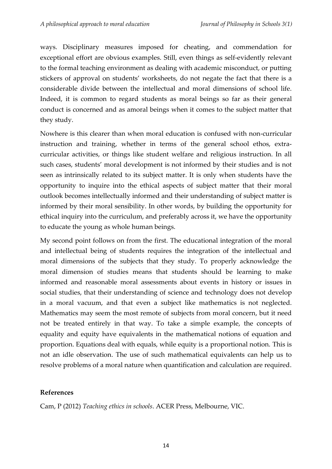ways. Disciplinary measures imposed for cheating, and commendation for exceptional effort are obvious examples. Still, even things as self-evidently relevant to the formal teaching environment as dealing with academic misconduct, or putting stickers of approval on students' worksheets, do not negate the fact that there is a considerable divide between the intellectual and moral dimensions of school life. Indeed, it is common to regard students as moral beings so far as their general conduct is concerned and as amoral beings when it comes to the subject matter that they study.

Nowhere is this clearer than when moral education is confused with non-curricular instruction and training, whether in terms of the general school ethos, extracurricular activities, or things like student welfare and religious instruction. In all such cases, students' moral development is not informed by their studies and is not seen as intrinsically related to its subject matter. It is only when students have the opportunity to inquire into the ethical aspects of subject matter that their moral outlook becomes intellectually informed and their understanding of subject matter is informed by their moral sensibility. In other words, by building the opportunity for ethical inquiry into the curriculum, and preferably across it, we have the opportunity to educate the young as whole human beings.

My second point follows on from the first. The educational integration of the moral and intellectual being of students requires the integration of the intellectual and moral dimensions of the subjects that they study. To properly acknowledge the moral dimension of studies means that students should be learning to make informed and reasonable moral assessments about events in history or issues in social studies, that their understanding of science and technology does not develop in a moral vacuum, and that even a subject like mathematics is not neglected. Mathematics may seem the most remote of subjects from moral concern, but it need not be treated entirely in that way. To take a simple example, the concepts of equality and equity have equivalents in the mathematical notions of equation and proportion. Equations deal with equals, while equity is a proportional notion. This is not an idle observation. The use of such mathematical equivalents can help us to resolve problems of a moral nature when quantification and calculation are required.

# **References**

Cam, P (2012) *Teaching ethics in schools*. ACER Press, Melbourne, VIC.